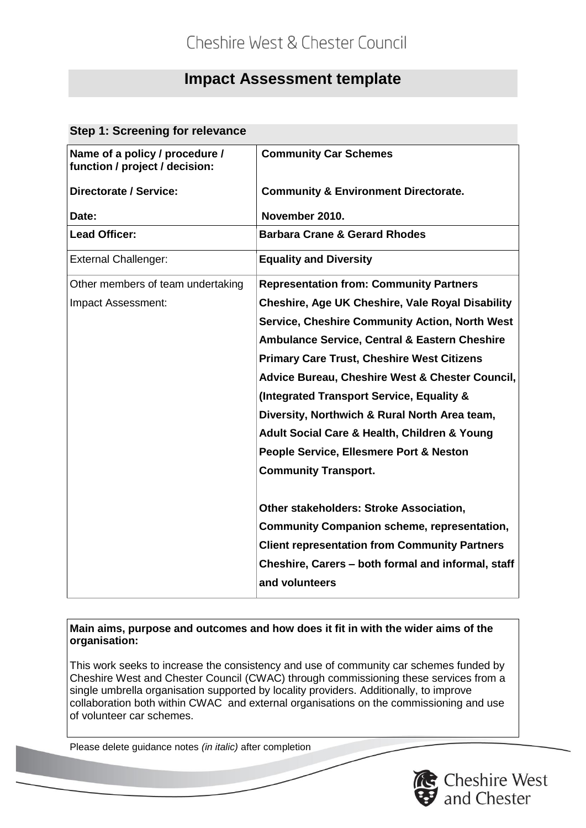# **Impact Assessment template**

### **Step 1: Screening for relevance**

| Name of a policy / procedure /<br>function / project / decision: | <b>Community Car Schemes</b>                                         |  |  |  |
|------------------------------------------------------------------|----------------------------------------------------------------------|--|--|--|
| <b>Directorate / Service:</b>                                    | <b>Community &amp; Environment Directorate.</b>                      |  |  |  |
| Date:                                                            | November 2010.                                                       |  |  |  |
| <b>Lead Officer:</b>                                             | <b>Barbara Crane &amp; Gerard Rhodes</b>                             |  |  |  |
| <b>External Challenger:</b>                                      | <b>Equality and Diversity</b>                                        |  |  |  |
| Other members of team undertaking                                | <b>Representation from: Community Partners</b>                       |  |  |  |
| Impact Assessment:                                               | <b>Cheshire, Age UK Cheshire, Vale Royal Disability</b>              |  |  |  |
|                                                                  | <b>Service, Cheshire Community Action, North West</b>                |  |  |  |
|                                                                  | <b>Ambulance Service, Central &amp; Eastern Cheshire</b>             |  |  |  |
|                                                                  | <b>Primary Care Trust, Cheshire West Citizens</b>                    |  |  |  |
|                                                                  | Advice Bureau, Cheshire West & Chester Council,                      |  |  |  |
|                                                                  | (Integrated Transport Service, Equality &                            |  |  |  |
|                                                                  | Diversity, Northwich & Rural North Area team,                        |  |  |  |
|                                                                  | Adult Social Care & Health, Children & Young                         |  |  |  |
|                                                                  | People Service, Ellesmere Port & Neston                              |  |  |  |
|                                                                  | <b>Community Transport.</b>                                          |  |  |  |
|                                                                  | Other stakeholders: Stroke Association,                              |  |  |  |
|                                                                  | <b>Community Companion scheme, representation,</b>                   |  |  |  |
|                                                                  | <b>Client representation from Community Partners</b>                 |  |  |  |
|                                                                  | Cheshire, Carers - both formal and informal, staff<br>and volunteers |  |  |  |

### **Main aims, purpose and outcomes and how does it fit in with the wider aims of the organisation:**

This work seeks to increase the consistency and use of community car schemes funded by Cheshire West and Chester Council (CWAC) through commissioning these services from a single umbrella organisation supported by locality providers. Additionally, to improve collaboration both within CWAC and external organisations on the commissioning and use of volunteer car schemes.

Please delete guidance notes *(in italic)* after completion

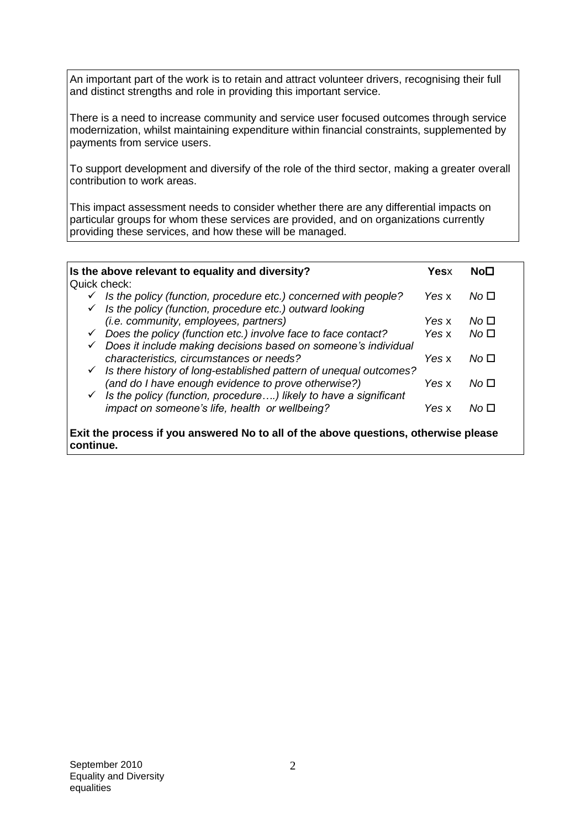An important part of the work is to retain and attract volunteer drivers, recognising their full and distinct strengths and role in providing this important service.

There is a need to increase community and service user focused outcomes through service modernization, whilst maintaining expenditure within financial constraints, supplemented by payments from service users.

To support development and diversify of the role of the third sector, making a greater overall contribution to work areas.

This impact assessment needs to consider whether there are any differential impacts on particular groups for whom these services are provided, and on organizations currently providing these services, and how these will be managed.

| Is the above relevant to equality and diversity?                                           | <b>Yesx</b> | No⊡             |
|--------------------------------------------------------------------------------------------|-------------|-----------------|
| Quick check:                                                                               |             |                 |
| Is the policy (function, procedure etc.) concerned with people?<br>$\checkmark$            | Yes x       | No □            |
| Is the policy (function, procedure etc.) outward looking<br>$\checkmark$                   |             |                 |
| (i.e. community, employees, partners)                                                      | Yes x       | No <sub>1</sub> |
| Does the policy (function etc.) involve face to face contact?<br>$\checkmark$              | Yes x       | No <sub>1</sub> |
| Does it include making decisions based on someone's individual<br>✓                        |             |                 |
| characteristics, circumstances or needs?                                                   | Yes x       | No <sub>1</sub> |
| Is there history of long-established pattern of unequal outcomes?<br>$\checkmark$          |             |                 |
| (and do I have enough evidence to prove otherwise?)                                        | Yes x       | No □            |
| $\checkmark$ Is the policy (function, procedure) likely to have a significant              |             |                 |
| impact on someone's life, health or wellbeing?                                             | Yes x       | No <sub>1</sub> |
|                                                                                            |             |                 |
| <b>Exit the process if you answered No to all of the above questions, otherwise please</b> |             |                 |

**continue.**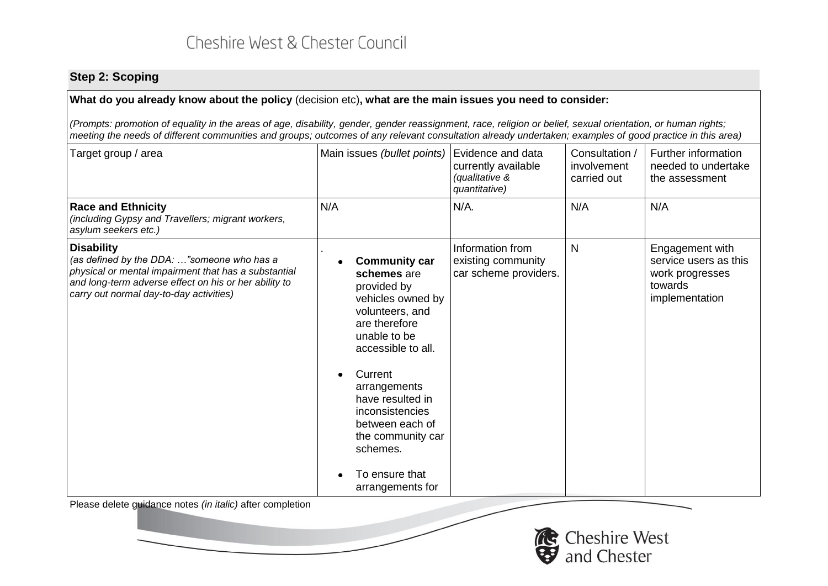## **Step 2: Scoping**

### **What do you already know about the policy** (decision etc)**, what are the main issues you need to consider:**

*(Prompts: promotion of equality in the areas of age, disability, gender, gender reassignment, race, religion or belief, sexual orientation, or human rights; meeting the needs of different communities and groups; outcomes of any relevant consultation already undertaken; examples of good practice in this area)*

| Target group / area                                                                                                                                                                                                         | Main issues (bullet points)                                                                                                                                                                                                                                                                                   | Evidence and data<br>currently available<br>(qualitative &<br>quantitative) | Consultation /<br>involvement<br>carried out | Further information<br>needed to undertake<br>the assessment                             |
|-----------------------------------------------------------------------------------------------------------------------------------------------------------------------------------------------------------------------------|---------------------------------------------------------------------------------------------------------------------------------------------------------------------------------------------------------------------------------------------------------------------------------------------------------------|-----------------------------------------------------------------------------|----------------------------------------------|------------------------------------------------------------------------------------------|
| <b>Race and Ethnicity</b><br>(including Gypsy and Travellers; migrant workers,<br>asylum seekers etc.)                                                                                                                      | N/A                                                                                                                                                                                                                                                                                                           | N/A.                                                                        | N/A                                          | N/A                                                                                      |
| <b>Disability</b><br>(as defined by the DDA: "someone who has a<br>physical or mental impairment that has a substantial<br>and long-term adverse effect on his or her ability to<br>carry out normal day-to-day activities) | <b>Community car</b><br>schemes are<br>provided by<br>vehicles owned by<br>volunteers, and<br>are therefore<br>unable to be<br>accessible to all.<br>Current<br>arrangements<br>have resulted in<br>inconsistencies<br>between each of<br>the community car<br>schemes.<br>To ensure that<br>arrangements for | Information from<br>existing community<br>car scheme providers.             | N                                            | Engagement with<br>service users as this<br>work progresses<br>towards<br>implementation |
| Please delete guidance notes <i>(in italic)</i> after completion                                                                                                                                                            |                                                                                                                                                                                                                                                                                                               |                                                                             |                                              |                                                                                          |

Cheshire West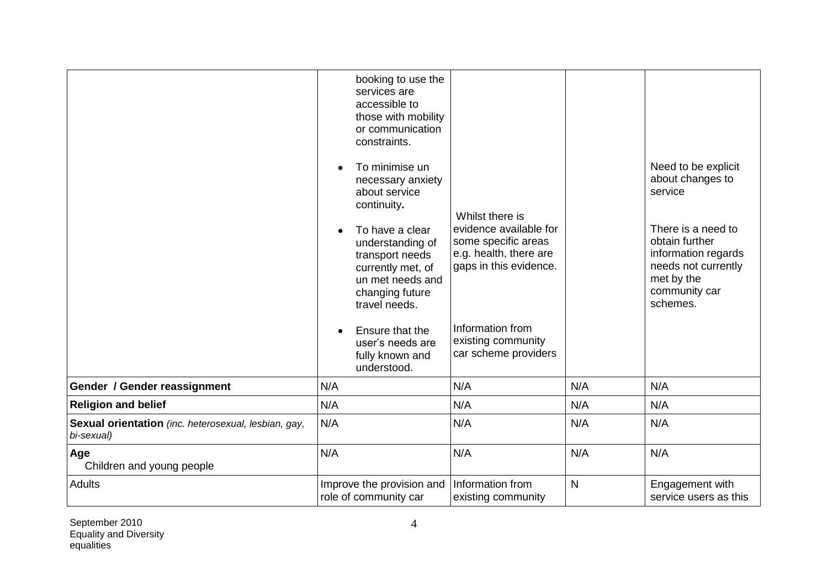|                                                                    | $\bullet$<br>$\bullet$ | booking to use the<br>services are<br>accessible to<br>those with mobility<br>or communication<br>constraints.<br>To minimise un<br>necessary anxiety<br>about service<br>continuity.<br>To have a clear<br>understanding of<br>transport needs<br>currently met, of<br>un met needs and<br>changing future<br>travel needs.<br>Ensure that the<br>user's needs are<br>fully known and<br>understood. | Whilst there is<br>evidence available for<br>some specific areas<br>e.g. health, there are<br>gaps in this evidence.<br>Information from<br>existing community<br>car scheme providers |              | Need to be explicit<br>about changes to<br>service<br>There is a need to<br>obtain further<br>information regards<br>needs not currently<br>met by the<br>community car<br>schemes. |
|--------------------------------------------------------------------|------------------------|-------------------------------------------------------------------------------------------------------------------------------------------------------------------------------------------------------------------------------------------------------------------------------------------------------------------------------------------------------------------------------------------------------|----------------------------------------------------------------------------------------------------------------------------------------------------------------------------------------|--------------|-------------------------------------------------------------------------------------------------------------------------------------------------------------------------------------|
| Gender / Gender reassignment                                       | N/A                    |                                                                                                                                                                                                                                                                                                                                                                                                       | N/A                                                                                                                                                                                    | N/A          | N/A                                                                                                                                                                                 |
| <b>Religion and belief</b>                                         | N/A                    |                                                                                                                                                                                                                                                                                                                                                                                                       | N/A                                                                                                                                                                                    | N/A          | N/A                                                                                                                                                                                 |
| Sexual orientation (inc. heterosexual, lesbian, gay,<br>bi-sexual) | N/A                    |                                                                                                                                                                                                                                                                                                                                                                                                       | N/A                                                                                                                                                                                    | N/A          | N/A                                                                                                                                                                                 |
| Age<br>Children and young people                                   | N/A                    |                                                                                                                                                                                                                                                                                                                                                                                                       | N/A                                                                                                                                                                                    | N/A          | N/A                                                                                                                                                                                 |
| <b>Adults</b>                                                      |                        | Improve the provision and<br>role of community car                                                                                                                                                                                                                                                                                                                                                    | Information from<br>existing community                                                                                                                                                 | $\mathsf{N}$ | Engagement with<br>service users as this                                                                                                                                            |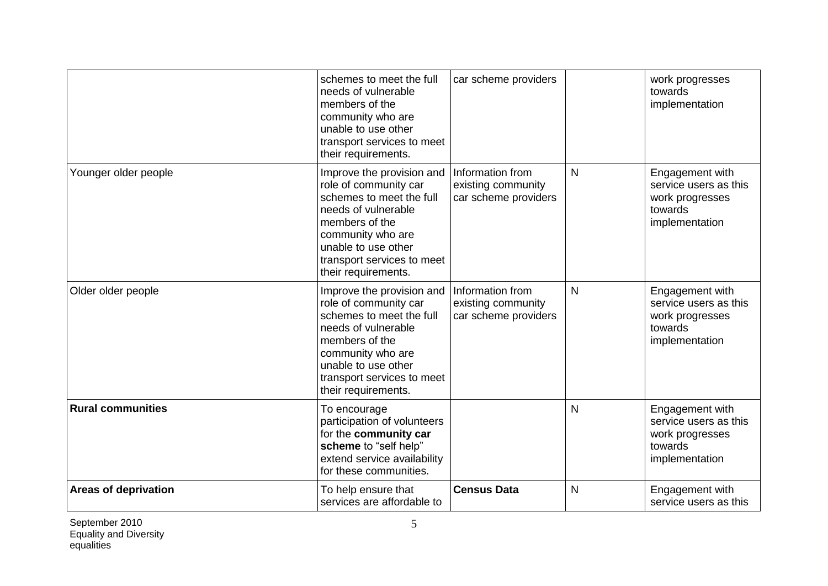|                             | schemes to meet the full<br>needs of vulnerable<br>members of the<br>community who are<br>unable to use other<br>transport services to meet<br>their requirements.                                                       | car scheme providers                                           |              | work progresses<br>towards<br>implementation                                             |
|-----------------------------|--------------------------------------------------------------------------------------------------------------------------------------------------------------------------------------------------------------------------|----------------------------------------------------------------|--------------|------------------------------------------------------------------------------------------|
| Younger older people        | Improve the provision and<br>role of community car<br>schemes to meet the full<br>needs of vulnerable<br>members of the<br>community who are<br>unable to use other<br>transport services to meet<br>their requirements. | Information from<br>existing community<br>car scheme providers | $\mathsf{N}$ | Engagement with<br>service users as this<br>work progresses<br>towards<br>implementation |
| Older older people          | Improve the provision and<br>role of community car<br>schemes to meet the full<br>needs of vulnerable<br>members of the<br>community who are<br>unable to use other<br>transport services to meet<br>their requirements. | Information from<br>existing community<br>car scheme providers | $\mathsf{N}$ | Engagement with<br>service users as this<br>work progresses<br>towards<br>implementation |
| <b>Rural communities</b>    | To encourage<br>participation of volunteers<br>for the community car<br>scheme to "self help"<br>extend service availability<br>for these communities.                                                                   |                                                                | N            | Engagement with<br>service users as this<br>work progresses<br>towards<br>implementation |
| <b>Areas of deprivation</b> | To help ensure that<br>services are affordable to                                                                                                                                                                        | <b>Census Data</b>                                             | N            | Engagement with<br>service users as this                                                 |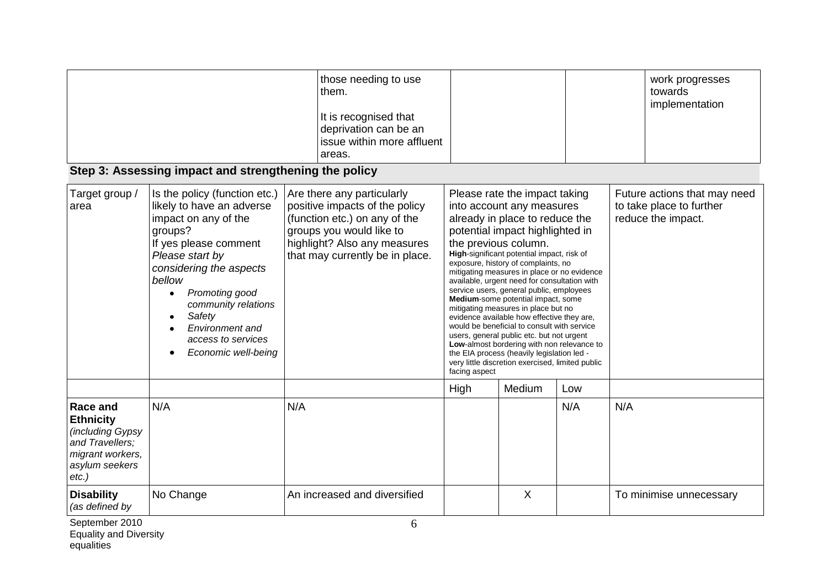|                                                                                                                              | Step 3: Assessing impact and strengthening the policy                                                                                                                                                                                                                                                                       | those needing to use<br>them.<br>It is recognised that<br>deprivation can be an<br>issue within more affluent<br>areas.                                                                      |               |                                                                                                                                                                                                                                                                                                                                                                                                                                                                                                                                                                                                                                                                                                                                                                |     |     | work progresses<br>towards<br>implementation                                   |
|------------------------------------------------------------------------------------------------------------------------------|-----------------------------------------------------------------------------------------------------------------------------------------------------------------------------------------------------------------------------------------------------------------------------------------------------------------------------|----------------------------------------------------------------------------------------------------------------------------------------------------------------------------------------------|---------------|----------------------------------------------------------------------------------------------------------------------------------------------------------------------------------------------------------------------------------------------------------------------------------------------------------------------------------------------------------------------------------------------------------------------------------------------------------------------------------------------------------------------------------------------------------------------------------------------------------------------------------------------------------------------------------------------------------------------------------------------------------------|-----|-----|--------------------------------------------------------------------------------|
| Target group /<br>area                                                                                                       | Is the policy (function etc.)<br>likely to have an adverse<br>impact on any of the<br>groups?<br>If yes please comment<br>Please start by<br>considering the aspects<br>bellow<br>Promoting good<br>$\bullet$<br>community relations<br>Safety<br>$\bullet$<br>Environment and<br>access to services<br>Economic well-being | Are there any particularly<br>positive impacts of the policy<br>(function etc.) on any of the<br>groups you would like to<br>highlight? Also any measures<br>that may currently be in place. | facing aspect | Please rate the impact taking<br>into account any measures<br>already in place to reduce the<br>potential impact highlighted in<br>the previous column.<br>High-significant potential impact, risk of<br>exposure, history of complaints, no<br>mitigating measures in place or no evidence<br>available, urgent need for consultation with<br>service users, general public, employees<br>Medium-some potential impact, some<br>mitigating measures in place but no<br>evidence available how effective they are,<br>would be beneficial to consult with service<br>users, general public etc. but not urgent<br>Low-almost bordering with non relevance to<br>the EIA process (heavily legislation led -<br>very little discretion exercised, limited public |     |     | Future actions that may need<br>to take place to further<br>reduce the impact. |
|                                                                                                                              |                                                                                                                                                                                                                                                                                                                             |                                                                                                                                                                                              | High          | Medium                                                                                                                                                                                                                                                                                                                                                                                                                                                                                                                                                                                                                                                                                                                                                         | Low |     |                                                                                |
| <b>Race and</b><br><b>Ethnicity</b><br>(including Gypsy<br>and Travellers;<br>migrant workers,<br>asylum seekers<br>$etc.$ ) | N/A                                                                                                                                                                                                                                                                                                                         | N/A                                                                                                                                                                                          |               |                                                                                                                                                                                                                                                                                                                                                                                                                                                                                                                                                                                                                                                                                                                                                                | N/A | N/A |                                                                                |
| <b>Disability</b><br>(as defined by                                                                                          | No Change                                                                                                                                                                                                                                                                                                                   | An increased and diversified                                                                                                                                                                 |               | X                                                                                                                                                                                                                                                                                                                                                                                                                                                                                                                                                                                                                                                                                                                                                              |     |     | To minimise unnecessary                                                        |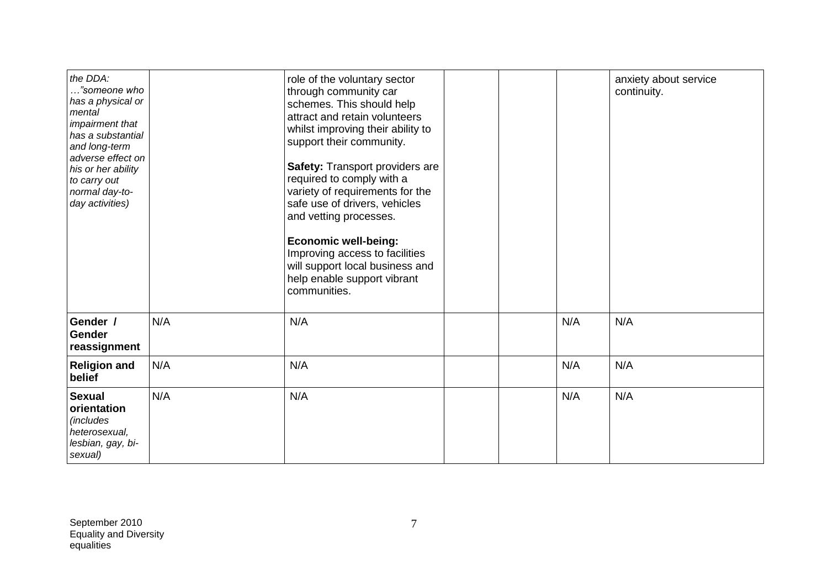| the DDA:<br>"someone who<br>has a physical or<br>mental<br>impairment that<br>has a substantial<br>and long-term<br>adverse effect on<br>his or her ability<br>to carry out<br>normal day-to-<br>day activities) |     | role of the voluntary sector<br>through community car<br>schemes. This should help<br>attract and retain volunteers<br>whilst improving their ability to<br>support their community.<br><b>Safety: Transport providers are</b><br>required to comply with a<br>variety of requirements for the<br>safe use of drivers, vehicles<br>and vetting processes.<br><b>Economic well-being:</b><br>Improving access to facilities<br>will support local business and<br>help enable support vibrant<br>communities. |     | anxiety about service<br>continuity. |
|------------------------------------------------------------------------------------------------------------------------------------------------------------------------------------------------------------------|-----|--------------------------------------------------------------------------------------------------------------------------------------------------------------------------------------------------------------------------------------------------------------------------------------------------------------------------------------------------------------------------------------------------------------------------------------------------------------------------------------------------------------|-----|--------------------------------------|
| Gender /<br>Gender<br>reassignment                                                                                                                                                                               | N/A | N/A                                                                                                                                                                                                                                                                                                                                                                                                                                                                                                          | N/A | N/A                                  |
| <b>Religion and</b><br>belief                                                                                                                                                                                    | N/A | N/A                                                                                                                                                                                                                                                                                                                                                                                                                                                                                                          | N/A | N/A                                  |
| <b>Sexual</b><br>orientation<br><i>(includes</i><br>heterosexual,<br>lesbian, gay, bi-<br>sexual)                                                                                                                | N/A | N/A                                                                                                                                                                                                                                                                                                                                                                                                                                                                                                          | N/A | N/A                                  |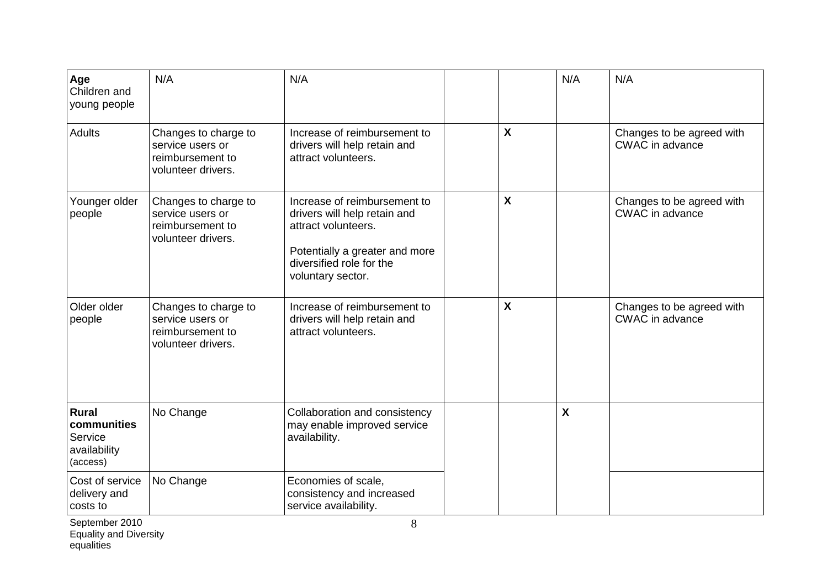| Age<br>Children and<br>young people                                | N/A                                                                                | N/A                                                                                                                                                                    |                           | N/A                       | N/A                                                 |
|--------------------------------------------------------------------|------------------------------------------------------------------------------------|------------------------------------------------------------------------------------------------------------------------------------------------------------------------|---------------------------|---------------------------|-----------------------------------------------------|
| <b>Adults</b>                                                      | Changes to charge to<br>service users or<br>reimbursement to<br>volunteer drivers. | Increase of reimbursement to<br>drivers will help retain and<br>attract volunteers.                                                                                    | $\boldsymbol{\mathsf{X}}$ |                           | Changes to be agreed with<br><b>CWAC</b> in advance |
| Younger older<br>people                                            | Changes to charge to<br>service users or<br>reimbursement to<br>volunteer drivers. | Increase of reimbursement to<br>drivers will help retain and<br>attract volunteers.<br>Potentially a greater and more<br>diversified role for the<br>voluntary sector. | $\boldsymbol{\mathsf{X}}$ |                           | Changes to be agreed with<br>CWAC in advance        |
| Older older<br>people                                              | Changes to charge to<br>service users or<br>reimbursement to<br>volunteer drivers. | Increase of reimbursement to<br>drivers will help retain and<br>attract volunteers.                                                                                    | X                         |                           | Changes to be agreed with<br><b>CWAC</b> in advance |
| <b>Rural</b><br>communities<br>Service<br>availability<br>(access) | No Change                                                                          | Collaboration and consistency<br>may enable improved service<br>availability.                                                                                          |                           | $\boldsymbol{\mathsf{X}}$ |                                                     |
| Cost of service<br>delivery and<br>costs to                        | No Change                                                                          | Economies of scale,<br>consistency and increased<br>service availability.                                                                                              |                           |                           |                                                     |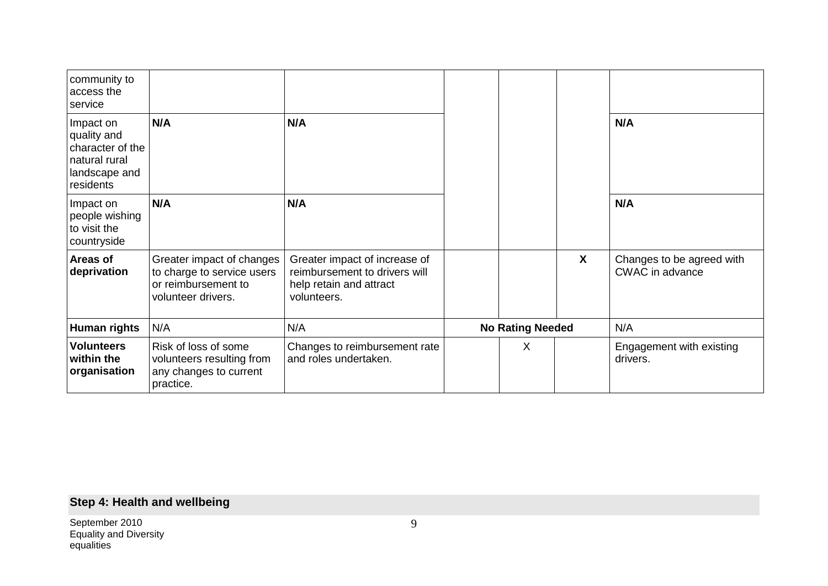| community to<br>access the<br>service                                                       |                                                                                                      |                                                                                                          |                         |                  |                                                     |
|---------------------------------------------------------------------------------------------|------------------------------------------------------------------------------------------------------|----------------------------------------------------------------------------------------------------------|-------------------------|------------------|-----------------------------------------------------|
| Impact on<br>quality and<br>character of the<br>natural rural<br>landscape and<br>residents | N/A                                                                                                  | N/A                                                                                                      |                         |                  | N/A                                                 |
| Impact on<br>people wishing<br>to visit the<br>countryside                                  | N/A                                                                                                  | N/A                                                                                                      |                         |                  | N/A                                                 |
| Areas of<br>deprivation                                                                     | Greater impact of changes<br>to charge to service users<br>or reimbursement to<br>volunteer drivers. | Greater impact of increase of<br>reimbursement to drivers will<br>help retain and attract<br>volunteers. |                         | $\boldsymbol{X}$ | Changes to be agreed with<br><b>CWAC</b> in advance |
| Human rights                                                                                | N/A                                                                                                  | N/A                                                                                                      | <b>No Rating Needed</b> |                  | N/A                                                 |
| <b>Volunteers</b><br>within the<br>organisation                                             | Risk of loss of some<br>volunteers resulting from<br>any changes to current<br>practice.             | Changes to reimbursement rate<br>and roles undertaken.                                                   | X                       |                  | Engagement with existing<br>drivers.                |

# **Step 4: Health and wellbeing**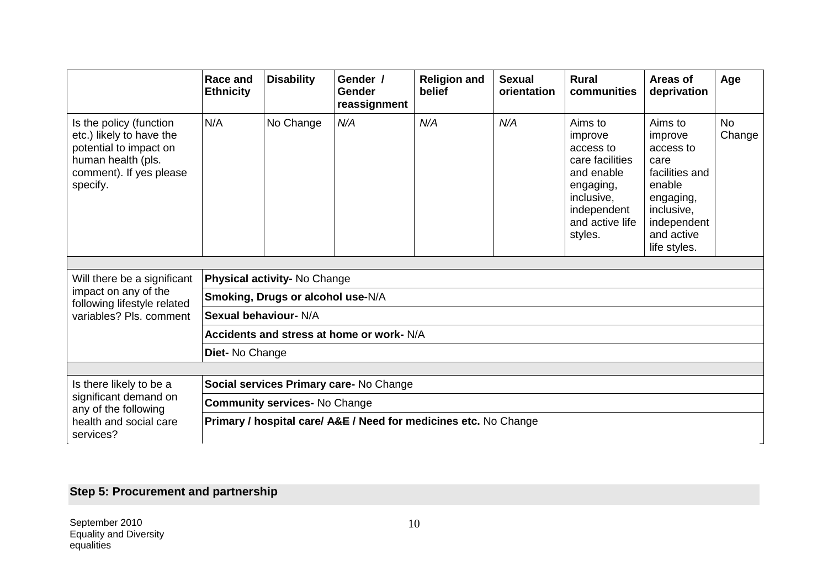|                                                                                                                                            | <b>Race and</b><br><b>Ethnicity</b>  | <b>Disability</b>                 | Gender /<br>Gender<br>reassignment                               | <b>Religion and</b><br>belief | <b>Sexual</b><br>orientation | <b>Rural</b><br>communities                                                                                                              | Areas of<br>deprivation                                                                                                                     | Age                 |
|--------------------------------------------------------------------------------------------------------------------------------------------|--------------------------------------|-----------------------------------|------------------------------------------------------------------|-------------------------------|------------------------------|------------------------------------------------------------------------------------------------------------------------------------------|---------------------------------------------------------------------------------------------------------------------------------------------|---------------------|
| Is the policy (function<br>etc.) likely to have the<br>potential to impact on<br>human health (pls.<br>comment). If yes please<br>specify. | N/A                                  | No Change                         | N/A                                                              | N/A                           | N/A                          | Aims to<br>improve<br>access to<br>care facilities<br>and enable<br>engaging,<br>inclusive.<br>independent<br>and active life<br>styles. | Aims to<br>improve<br>access to<br>care<br>facilities and<br>enable<br>engaging,<br>inclusive,<br>independent<br>and active<br>life styles. | <b>No</b><br>Change |
| Will there be a significant                                                                                                                |                                      | Physical activity- No Change      |                                                                  |                               |                              |                                                                                                                                          |                                                                                                                                             |                     |
| impact on any of the<br>following lifestyle related                                                                                        |                                      | Smoking, Drugs or alcohol use-N/A |                                                                  |                               |                              |                                                                                                                                          |                                                                                                                                             |                     |
| variables? Pls. comment                                                                                                                    |                                      | Sexual behaviour- N/A             |                                                                  |                               |                              |                                                                                                                                          |                                                                                                                                             |                     |
|                                                                                                                                            |                                      |                                   | Accidents and stress at home or work- N/A                        |                               |                              |                                                                                                                                          |                                                                                                                                             |                     |
|                                                                                                                                            | Diet- No Change                      |                                   |                                                                  |                               |                              |                                                                                                                                          |                                                                                                                                             |                     |
|                                                                                                                                            |                                      |                                   |                                                                  |                               |                              |                                                                                                                                          |                                                                                                                                             |                     |
| Is there likely to be a                                                                                                                    |                                      |                                   | Social services Primary care- No Change                          |                               |                              |                                                                                                                                          |                                                                                                                                             |                     |
| significant demand on<br>any of the following                                                                                              | <b>Community services- No Change</b> |                                   |                                                                  |                               |                              |                                                                                                                                          |                                                                                                                                             |                     |
| health and social care<br>services?                                                                                                        |                                      |                                   | Primary / hospital care/ A&E / Need for medicines etc. No Change |                               |                              |                                                                                                                                          |                                                                                                                                             |                     |

# **Step 5: Procurement and partnership**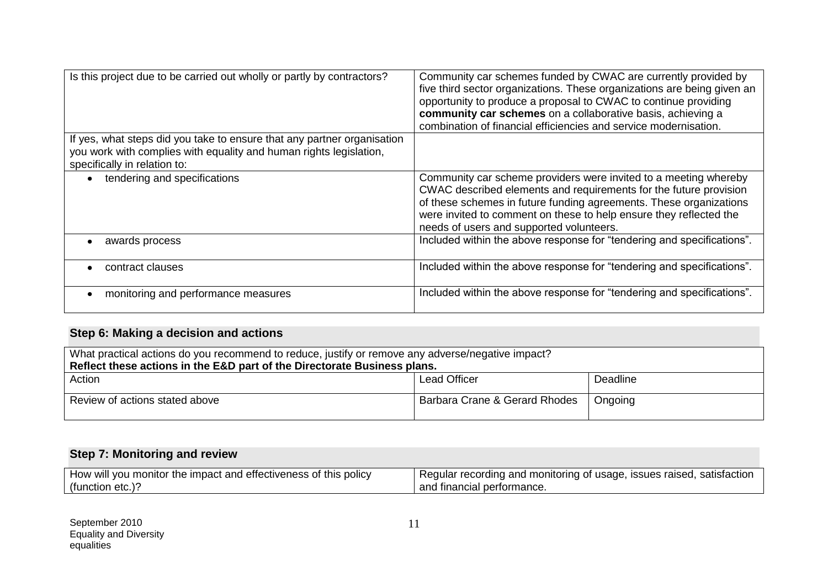| Is this project due to be carried out wholly or partly by contractors?                                                                                                        | Community car schemes funded by CWAC are currently provided by<br>five third sector organizations. These organizations are being given an<br>opportunity to produce a proposal to CWAC to continue providing<br>community car schemes on a collaborative basis, achieving a<br>combination of financial efficiencies and service modernisation. |
|-------------------------------------------------------------------------------------------------------------------------------------------------------------------------------|-------------------------------------------------------------------------------------------------------------------------------------------------------------------------------------------------------------------------------------------------------------------------------------------------------------------------------------------------|
| If yes, what steps did you take to ensure that any partner organisation<br>you work with complies with equality and human rights legislation,<br>specifically in relation to: |                                                                                                                                                                                                                                                                                                                                                 |
| tendering and specifications                                                                                                                                                  | Community car scheme providers were invited to a meeting whereby<br>CWAC described elements and requirements for the future provision<br>of these schemes in future funding agreements. These organizations<br>were invited to comment on these to help ensure they reflected the<br>needs of users and supported volunteers.                   |
| awards process                                                                                                                                                                | Included within the above response for "tendering and specifications".                                                                                                                                                                                                                                                                          |
| contract clauses                                                                                                                                                              | Included within the above response for "tendering and specifications".                                                                                                                                                                                                                                                                          |
| monitoring and performance measures                                                                                                                                           | Included within the above response for "tendering and specifications".                                                                                                                                                                                                                                                                          |

# **Step 6: Making a decision and actions**

| What practical actions do you recommend to reduce, justify or remove any adverse/negative impact? |  |  |  |  |  |
|---------------------------------------------------------------------------------------------------|--|--|--|--|--|
| Reflect these actions in the E&D part of the Directorate Business plans.                          |  |  |  |  |  |
| Action<br>Lead Officer<br>Deadline                                                                |  |  |  |  |  |
| Barbara Crane & Gerard Rhodes<br>Review of actions stated above<br>Ongoing                        |  |  |  |  |  |

## **Step 7: Monitoring and review**

| How will you monitor the impact and effectiveness of this policy | satisfactior<br>' Regular recording and monitoring of usage, issues raised, |  |
|------------------------------------------------------------------|-----------------------------------------------------------------------------|--|
| (function etc.).                                                 | and financial performance.                                                  |  |